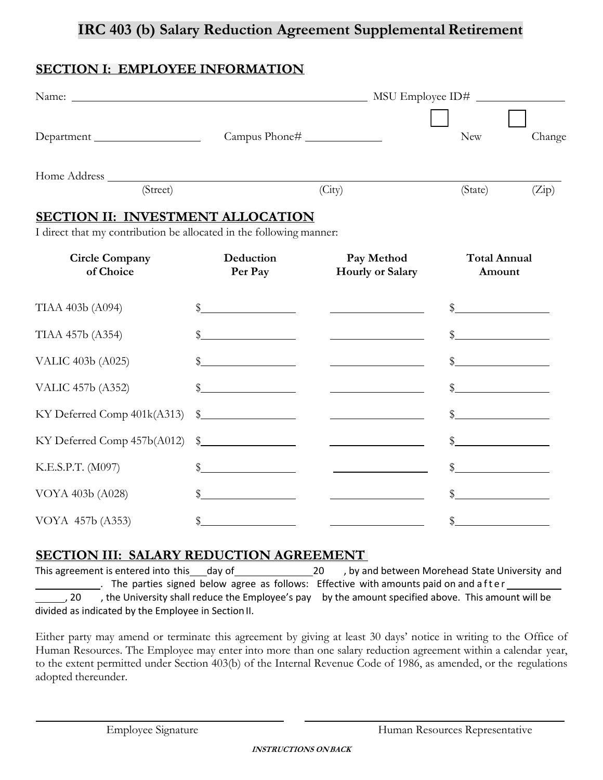# **IRC 403 (b) Salary Reduction Agreement Supplemental Retirement**

### **SECTION I: EMPLOYEE INFORMATION**

|                                                                                                                 | Name: Name: Name: NSU Employee ID#                                                                                                                                                                                                                                                                                  |                                                                                                                                                                                                                                                                                                                     |                                                                                                                                                                                                                                                                                                                                                                     |        |
|-----------------------------------------------------------------------------------------------------------------|---------------------------------------------------------------------------------------------------------------------------------------------------------------------------------------------------------------------------------------------------------------------------------------------------------------------|---------------------------------------------------------------------------------------------------------------------------------------------------------------------------------------------------------------------------------------------------------------------------------------------------------------------|---------------------------------------------------------------------------------------------------------------------------------------------------------------------------------------------------------------------------------------------------------------------------------------------------------------------------------------------------------------------|--------|
| Department                                                                                                      | Campus Phone#                                                                                                                                                                                                                                                                                                       |                                                                                                                                                                                                                                                                                                                     | <b>New</b>                                                                                                                                                                                                                                                                                                                                                          | Change |
| (Street)                                                                                                        |                                                                                                                                                                                                                                                                                                                     | (City)                                                                                                                                                                                                                                                                                                              | (State)                                                                                                                                                                                                                                                                                                                                                             | (Zip)  |
| <b>SECTION II: INVESTMENT ALLOCATION</b><br>I direct that my contribution be allocated in the following manner: |                                                                                                                                                                                                                                                                                                                     |                                                                                                                                                                                                                                                                                                                     |                                                                                                                                                                                                                                                                                                                                                                     |        |
| <b>Circle Company</b><br>of Choice                                                                              | Deduction<br>Per Pay                                                                                                                                                                                                                                                                                                | Pay Method<br><b>Hourly or Salary</b>                                                                                                                                                                                                                                                                               | <b>Total Annual</b><br>Amount                                                                                                                                                                                                                                                                                                                                       |        |
| TIAA 403b (A094)                                                                                                | $\frac{1}{2}$ $\frac{1}{2}$ $\frac{1}{2}$ $\frac{1}{2}$ $\frac{1}{2}$ $\frac{1}{2}$ $\frac{1}{2}$ $\frac{1}{2}$ $\frac{1}{2}$ $\frac{1}{2}$ $\frac{1}{2}$ $\frac{1}{2}$ $\frac{1}{2}$ $\frac{1}{2}$ $\frac{1}{2}$ $\frac{1}{2}$ $\frac{1}{2}$ $\frac{1}{2}$ $\frac{1}{2}$ $\frac{1}{2}$ $\frac{1}{2}$ $\frac{1}{2}$ | <u> 1990 - Johann Barbara, martin politik (</u>                                                                                                                                                                                                                                                                     | $\frac{1}{2}$                                                                                                                                                                                                                                                                                                                                                       |        |
| TIAA 457b (A354)                                                                                                | $^{\circ}$                                                                                                                                                                                                                                                                                                          | <u>and the contract of the contract of the contract</u>                                                                                                                                                                                                                                                             | $\frac{1}{2}$                                                                                                                                                                                                                                                                                                                                                       |        |
| VALIC 403b (A025)                                                                                               | $\mathbb{S}$<br><u> 1990 - Jan Barbara Barbara, política establece</u>                                                                                                                                                                                                                                              | <u> 1990 - Johann Barbara, martin politik (</u>                                                                                                                                                                                                                                                                     | $\frac{1}{2}$                                                                                                                                                                                                                                                                                                                                                       |        |
| VALIC 457b (A352)                                                                                               | $\mathbb{S}$                                                                                                                                                                                                                                                                                                        | <u> Listen van die Stad van die Stad van die Stad van die Stad van die Stad van die Stad van die Stad van die Stad va</u>                                                                                                                                                                                           | $\sim$                                                                                                                                                                                                                                                                                                                                                              |        |
| KY Deferred Comp 401k(A313)                                                                                     |                                                                                                                                                                                                                                                                                                                     | $\frac{1}{2}$                                                                                                                                                                                                                                                                                                       | $\begin{picture}(20,10) \put(0,0){\vector(1,0){100}} \put(15,0){\vector(1,0){100}} \put(15,0){\vector(1,0){100}} \put(15,0){\vector(1,0){100}} \put(15,0){\vector(1,0){100}} \put(15,0){\vector(1,0){100}} \put(15,0){\vector(1,0){100}} \put(15,0){\vector(1,0){100}} \put(15,0){\vector(1,0){100}} \put(15,0){\vector(1,0){100}} \put(15,0){\vector(1,0){100}} \$ |        |
| KY Deferred Comp 457b(A012)                                                                                     |                                                                                                                                                                                                                                                                                                                     | $\frac{1}{2}$ $\frac{1}{2}$ $\frac{1}{2}$ $\frac{1}{2}$ $\frac{1}{2}$ $\frac{1}{2}$ $\frac{1}{2}$ $\frac{1}{2}$ $\frac{1}{2}$ $\frac{1}{2}$ $\frac{1}{2}$ $\frac{1}{2}$ $\frac{1}{2}$ $\frac{1}{2}$ $\frac{1}{2}$ $\frac{1}{2}$ $\frac{1}{2}$ $\frac{1}{2}$ $\frac{1}{2}$ $\frac{1}{2}$ $\frac{1}{2}$ $\frac{1}{2}$ | $\frac{1}{2}$                                                                                                                                                                                                                                                                                                                                                       |        |
| K.E.S.P.T. (M097)                                                                                               | $\mathbb{S}$                                                                                                                                                                                                                                                                                                        | <u> The Communication of the Communication</u>                                                                                                                                                                                                                                                                      | $\sim$                                                                                                                                                                                                                                                                                                                                                              |        |
| VOYA 403b (A028)                                                                                                | \$<br><u> 1999 - Jan Stone Barnett, politik a</u>                                                                                                                                                                                                                                                                   | <u>and the company of the company of the company of the company of the company of the company of the company of the company of the company of the company of the company of the company of the company of the company of the com</u>                                                                                | $\sim$                                                                                                                                                                                                                                                                                                                                                              |        |
| VOYA 457b (A353)                                                                                                | $\frac{1}{2}$ $\frac{1}{2}$ $\frac{1}{2}$ $\frac{1}{2}$ $\frac{1}{2}$ $\frac{1}{2}$ $\frac{1}{2}$ $\frac{1}{2}$ $\frac{1}{2}$ $\frac{1}{2}$ $\frac{1}{2}$ $\frac{1}{2}$ $\frac{1}{2}$ $\frac{1}{2}$ $\frac{1}{2}$ $\frac{1}{2}$ $\frac{1}{2}$ $\frac{1}{2}$ $\frac{1}{2}$ $\frac{1}{2}$ $\frac{1}{2}$ $\frac{1}{2}$ |                                                                                                                                                                                                                                                                                                                     | $\frac{1}{2}$                                                                                                                                                                                                                                                                                                                                                       |        |

#### SECTION III: SALARY REDUCTION AGREEMENT

This agreement is entered into this day of 20 , by and between Morehead State University and . The parties signed below agree as follows: Effective with amounts paid on and after , 20 , the University shall reduce the Employee's pay by the amount specified above. This amount will be divided as indicated by the Employee in Section II.

Either party may amend or terminate this agreement by giving at least 30 days' notice in writing to the Office of Human Resources. The Employee may enter into more than one salary reduction agreement within a calendar year, to the extent permitted under Section 403(b) of the Internal Revenue Code of 1986, as amended, or the regulations adopted thereunder.